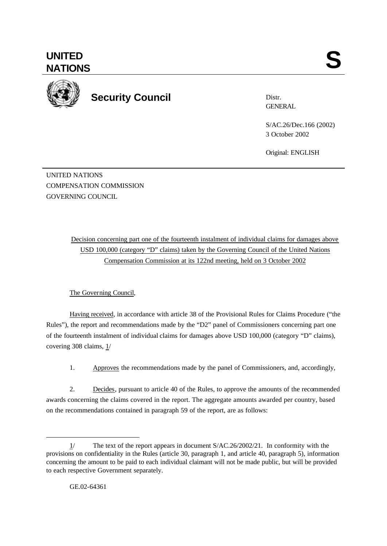

**Security Council**

Distr. **GENERAL** 

S/AC.26/Dec.166 (2002) 3 October 2002

Original: ENGLISH

UNITED NATIONS COMPENSATION COMMISSION GOVERNING COUNCIL

> Decision concerning part one of the fourteenth instalment of individual claims for damages above USD 100,000 (category "D" claims) taken by the Governing Council of the United Nations Compensation Commission at its 122nd meeting, held on 3 October 2002

## The Governing Council,

Having received, in accordance with article 38 of the Provisional Rules for Claims Procedure ("the Rules"), the report and recommendations made by the "D2" panel of Commissioners concerning part one of the fourteenth instalment of individual claims for damages above USD 100,000 (category "D" claims), covering 308 claims, 1/

1. Approves the recommendations made by the panel of Commissioners, and, accordingly,

2. Decides, pursuant to article 40 of the Rules, to approve the amounts of the recommended awards concerning the claims covered in the report. The aggregate amounts awarded per country, based on the recommendations contained in paragraph 59 of the report, are as follows:

l

<sup>1/</sup> The text of the report appears in document S/AC.26/2002/21. In conformity with the provisions on confidentiality in the Rules (article 30, paragraph 1, and article 40, paragraph 5), information concerning the amount to be paid to each individual claimant will not be made public, but will be provided to each respective Government separately.